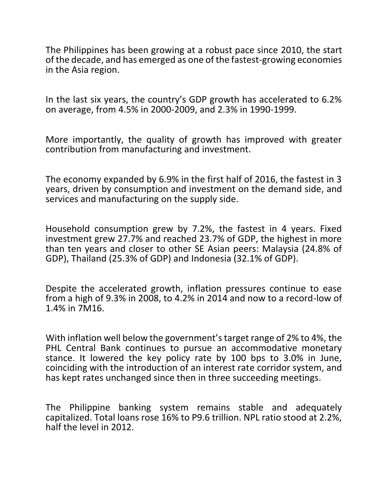The Philippines has been growing at a robust pace since 2010, the start of the decade, and has emerged as one of the fastest-growing economies in the Asia region.

In the last six years, the country's GDP growth has accelerated to 6.2% on average, from 4.5% in 2000-2009, and 2.3% in 1990-1999.

More importantly, the quality of growth has improved with greater contribution from manufacturing and investment.

The economy expanded by 6.9% in the first half of 2016, the fastest in 3 years, driven by consumption and investment on the demand side, and services and manufacturing on the supply side.

Household consumption grew by 7.2%, the fastest in 4 years. Fixed investment grew 27.7% and reached 23.7% of GDP, the highest in more than ten years and closer to other SE Asian peers: Malaysia (24.8% of GDP), Thailand (25.3% of GDP) and Indonesia (32.1% of GDP).

Despite the accelerated growth, inflation pressures continue to ease from a high of 9.3% in 2008, to 4.2% in 2014 and now to a record-low of 1.4% in 7M16.

With inflation well below the government's target range of 2% to 4%, the PHL Central Bank continues to pursue an accommodative monetary stance. It lowered the key policy rate by 100 bps to 3.0% in June, coinciding with the introduction of an interest rate corridor system, and has kept rates unchanged since then in three succeeding meetings.

The Philippine banking system remains stable and adequately capitalized. Total loans rose 16% to P9.6 trillion. NPL ratio stood at 2.2%, half the level in 2012.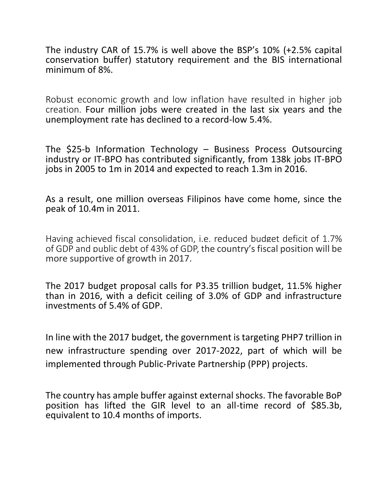The industry CAR of 15.7% is well above the BSP's 10% (+2.5% capital conservation buffer) statutory requirement and the BIS international minimum of 8%.

Robust economic growth and low inflation have resulted in higher job creation. Four million jobs were created in the last six years and the unemployment rate has declined to a record-low 5.4%.

The \$25-b Information Technology – Business Process Outsourcing industry or IT-BPO has contributed significantly, from 138k jobs IT-BPO jobs in 2005 to 1m in 2014 and expected to reach 1.3m in 2016.

As a result, one million overseas Filipinos have come home, since the peak of 10.4m in 2011.

Having achieved fiscal consolidation, i.e. reduced budget deficit of 1.7% of GDP and public debt of 43% of GDP, the country's fiscal position will be more supportive of growth in 2017.

The 2017 budget proposal calls for P3.35 trillion budget, 11.5% higher than in 2016, with a deficit ceiling of 3.0% of GDP and infrastructure investments of 5.4% of GDP.

In line with the 2017 budget, the government is targeting PHP7 trillion in new infrastructure spending over 2017-2022, part of which will be implemented through Public-Private Partnership (PPP) projects.

The country has ample buffer against external shocks. The favorable BoP position has lifted the GIR level to an all-time record of \$85.3b, equivalent to 10.4 months of imports.